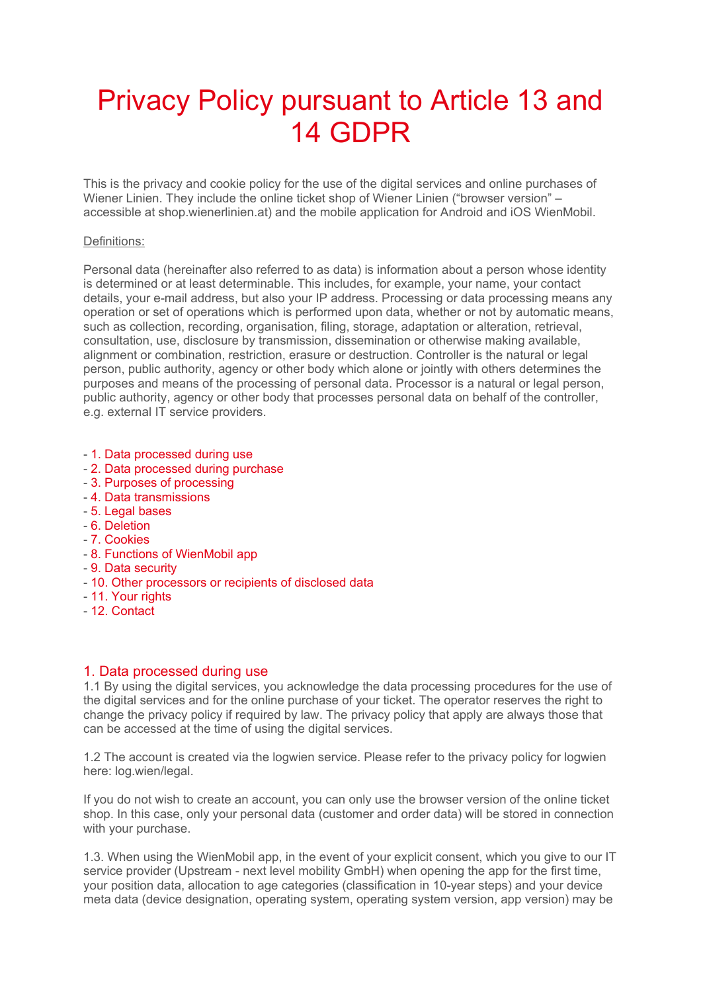# Privacy Policy pursuant to Article 13 and 14 GDPR

This is the privacy and cookie policy for the use of the digital services and online purchases of Wiener Linien. They include the online ticket shop of Wiener Linien ("browser version" – accessible at shop.wienerlinien.at) and the mobile application for Android and iOS WienMobil.

#### Definitions:

Personal data (hereinafter also referred to as data) is information about a person whose identity is determined or at least determinable. This includes, for example, your name, your contact details, your e-mail address, but also your IP address. Processing or data processing means any operation or set of operations which is performed upon data, whether or not by automatic means, such as collection, recording, organisation, filing, storage, adaptation or alteration, retrieval, consultation, use, disclosure by transmission, dissemination or otherwise making available, alignment or combination, restriction, erasure or destruction. Controller is the natural or legal person, public authority, agency or other body which alone or jointly with others determines the purposes and means of the processing of personal data. Processor is a natural or legal person, public authority, agency or other body that processes personal data on behalf of the controller, e.g. external IT service providers.

- 1. Data processed during use
- 2. Data processed during purchase
- 3. Purposes of processing
- 4. Data transmissions
- 5. Legal bases
- 6. Deletion
- 7. Cookies
- 8. Functions of WienMobil app
- 9. Data security
- 10. Other processors or recipients of disclosed data
- 11. Your rights
- 12. Contact

## 1. Data processed during use

1.1 By using the digital services, you acknowledge the data processing procedures for the use of the digital services and for the online purchase of your ticket. The operator reserves the right to change the privacy policy if required by law. The privacy policy that apply are always those that can be accessed at the time of using the digital services.

1.2 The account is created via the logwien service. Please refer to the privacy policy for logwien here: log.wien/legal.

If you do not wish to create an account, you can only use the browser version of the online ticket shop. In this case, only your personal data (customer and order data) will be stored in connection with your purchase.

1.3. When using the WienMobil app, in the event of your explicit consent, which you give to our IT service provider (Upstream - next level mobility GmbH) when opening the app for the first time, your position data, allocation to age categories (classification in 10-year steps) and your device meta data (device designation, operating system, operating system version, app version) may be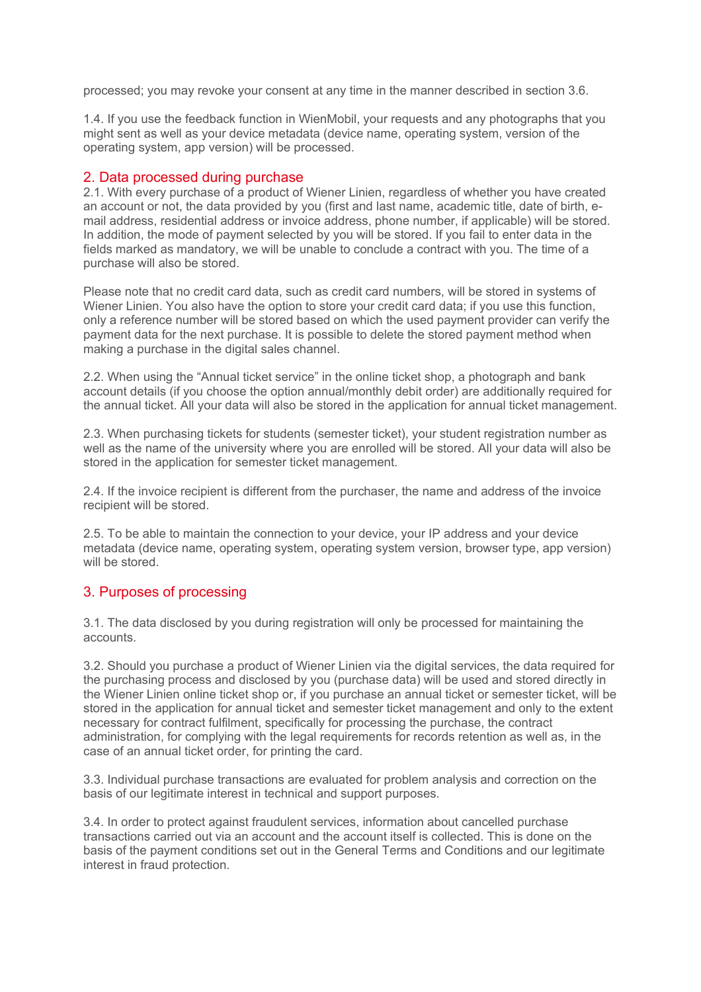processed; you may revoke your consent at any time in the manner described in section 3.6.

1.4. If you use the feedback function in WienMobil, your requests and any photographs that you might sent as well as your device metadata (device name, operating system, version of the operating system, app version) will be processed.

### 2. Data processed during purchase

2.1. With every purchase of a product of Wiener Linien, regardless of whether you have created an account or not, the data provided by you (first and last name, academic title, date of birth, email address, residential address or invoice address, phone number, if applicable) will be stored. In addition, the mode of payment selected by you will be stored. If you fail to enter data in the fields marked as mandatory, we will be unable to conclude a contract with you. The time of a purchase will also be stored.

Please note that no credit card data, such as credit card numbers, will be stored in systems of Wiener Linien. You also have the option to store your credit card data; if you use this function, only a reference number will be stored based on which the used payment provider can verify the payment data for the next purchase. It is possible to delete the stored payment method when making a purchase in the digital sales channel.

2.2. When using the "Annual ticket service" in the online ticket shop, a photograph and bank account details (if you choose the option annual/monthly debit order) are additionally required for the annual ticket. All your data will also be stored in the application for annual ticket management.

2.3. When purchasing tickets for students (semester ticket), your student registration number as well as the name of the university where you are enrolled will be stored. All your data will also be stored in the application for semester ticket management.

2.4. If the invoice recipient is different from the purchaser, the name and address of the invoice recipient will be stored.

2.5. To be able to maintain the connection to your device, your IP address and your device metadata (device name, operating system, operating system version, browser type, app version) will be stored.

## 3. Purposes of processing

3.1. The data disclosed by you during registration will only be processed for maintaining the accounts.

3.2. Should you purchase a product of Wiener Linien via the digital services, the data required for the purchasing process and disclosed by you (purchase data) will be used and stored directly in the Wiener Linien online ticket shop or, if you purchase an annual ticket or semester ticket, will be stored in the application for annual ticket and semester ticket management and only to the extent necessary for contract fulfilment, specifically for processing the purchase, the contract administration, for complying with the legal requirements for records retention as well as, in the case of an annual ticket order, for printing the card.

3.3. Individual purchase transactions are evaluated for problem analysis and correction on the basis of our legitimate interest in technical and support purposes.

3.4. In order to protect against fraudulent services, information about cancelled purchase transactions carried out via an account and the account itself is collected. This is done on the basis of the payment conditions set out in the General Terms and Conditions and our legitimate interest in fraud protection.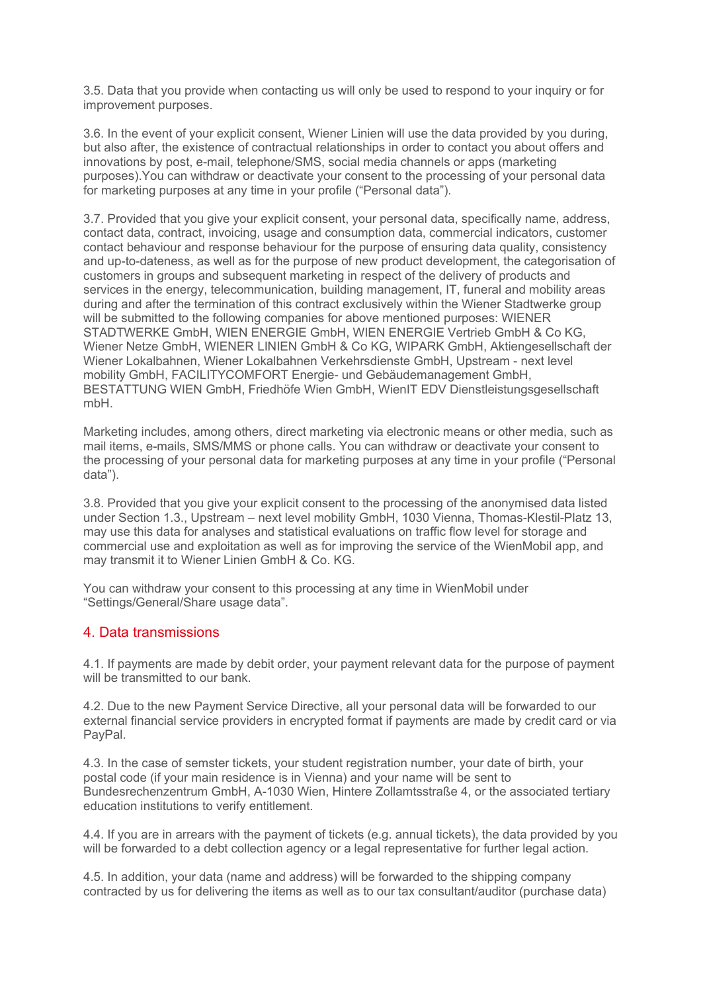3.5. Data that you provide when contacting us will only be used to respond to your inquiry or for improvement purposes.

3.6. In the event of your explicit consent, Wiener Linien will use the data provided by you during, but also after, the existence of contractual relationships in order to contact you about offers and innovations by post, e-mail, telephone/SMS, social media channels or apps (marketing purposes).You can withdraw or deactivate your consent to the processing of your personal data for marketing purposes at any time in your profile ("Personal data").

3.7. Provided that you give your explicit consent, your personal data, specifically name, address, contact data, contract, invoicing, usage and consumption data, commercial indicators, customer contact behaviour and response behaviour for the purpose of ensuring data quality, consistency and up-to-dateness, as well as for the purpose of new product development, the categorisation of customers in groups and subsequent marketing in respect of the delivery of products and services in the energy, telecommunication, building management, IT, funeral and mobility areas during and after the termination of this contract exclusively within the Wiener Stadtwerke group will be submitted to the following companies for above mentioned purposes: WIENER STADTWERKE GmbH, WIEN ENERGIE GmbH, WIEN ENERGIE Vertrieb GmbH & Co KG, Wiener Netze GmbH, WIENER LINIEN GmbH & Co KG, WIPARK GmbH, Aktiengesellschaft der Wiener Lokalbahnen, Wiener Lokalbahnen Verkehrsdienste GmbH, Upstream - next level mobility GmbH, FACILITYCOMFORT Energie- und Gebäudemanagement GmbH, BESTATTUNG WIEN GmbH, Friedhöfe Wien GmbH, WienIT EDV Dienstleistungsgesellschaft mbH.

Marketing includes, among others, direct marketing via electronic means or other media, such as mail items, e-mails, SMS/MMS or phone calls. You can withdraw or deactivate your consent to the processing of your personal data for marketing purposes at any time in your profile ("Personal data").

3.8. Provided that you give your explicit consent to the processing of the anonymised data listed under Section 1.3., Upstream – next level mobility GmbH, 1030 Vienna, Thomas-Klestil-Platz 13, may use this data for analyses and statistical evaluations on traffic flow level for storage and commercial use and exploitation as well as for improving the service of the WienMobil app, and may transmit it to Wiener Linien GmbH & Co. KG.

You can withdraw your consent to this processing at any time in WienMobil under "Settings/General/Share usage data".

## 4. Data transmissions

4.1. If payments are made by debit order, your payment relevant data for the purpose of payment will be transmitted to our bank.

4.2. Due to the new Payment Service Directive, all your personal data will be forwarded to our external financial service providers in encrypted format if payments are made by credit card or via PayPal.

4.3. In the case of semster tickets, your student registration number, your date of birth, your postal code (if your main residence is in Vienna) and your name will be sent to Bundesrechenzentrum GmbH, A-1030 Wien, Hintere Zollamtsstraße 4, or the associated tertiary education institutions to verify entitlement.

4.4. If you are in arrears with the payment of tickets (e.g. annual tickets), the data provided by you will be forwarded to a debt collection agency or a legal representative for further legal action.

4.5. In addition, your data (name and address) will be forwarded to the shipping company contracted by us for delivering the items as well as to our tax consultant/auditor (purchase data)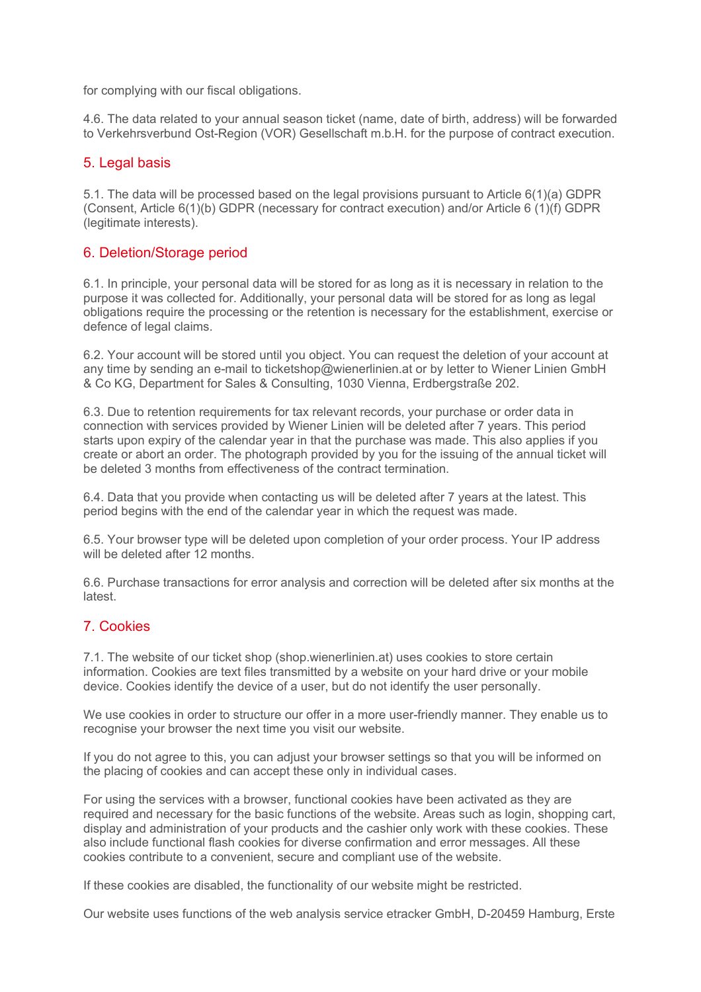for complying with our fiscal obligations.

4.6. The data related to your annual season ticket (name, date of birth, address) will be forwarded to Verkehrsverbund Ost-Region (VOR) Gesellschaft m.b.H. for the purpose of contract execution.

## 5. Legal basis

5.1. The data will be processed based on the legal provisions pursuant to Article 6(1)(a) GDPR (Consent, Article 6(1)(b) GDPR (necessary for contract execution) and/or Article 6 (1)(f) GDPR (legitimate interests).

## 6. Deletion/Storage period

6.1. In principle, your personal data will be stored for as long as it is necessary in relation to the purpose it was collected for. Additionally, your personal data will be stored for as long as legal obligations require the processing or the retention is necessary for the establishment, exercise or defence of legal claims.

6.2. Your account will be stored until you object. You can request the deletion of your account at any time by sending an e-mail to ticketshop@wienerlinien.at or by letter to Wiener Linien GmbH & Co KG, Department for Sales & Consulting, 1030 Vienna, Erdbergstraße 202.

6.3. Due to retention requirements for tax relevant records, your purchase or order data in connection with services provided by Wiener Linien will be deleted after 7 years. This period starts upon expiry of the calendar year in that the purchase was made. This also applies if you create or abort an order. The photograph provided by you for the issuing of the annual ticket will be deleted 3 months from effectiveness of the contract termination.

6.4. Data that you provide when contacting us will be deleted after 7 years at the latest. This period begins with the end of the calendar year in which the request was made.

6.5. Your browser type will be deleted upon completion of your order process. Your IP address will be deleted after 12 months.

6.6. Purchase transactions for error analysis and correction will be deleted after six months at the latest.

## 7. Cookies

7.1. The website of our ticket shop (shop.wienerlinien.at) uses cookies to store certain information. Cookies are text files transmitted by a website on your hard drive or your mobile device. Cookies identify the device of a user, but do not identify the user personally.

We use cookies in order to structure our offer in a more user-friendly manner. They enable us to recognise your browser the next time you visit our website.

If you do not agree to this, you can adjust your browser settings so that you will be informed on the placing of cookies and can accept these only in individual cases.

For using the services with a browser, functional cookies have been activated as they are required and necessary for the basic functions of the website. Areas such as login, shopping cart, display and administration of your products and the cashier only work with these cookies. These also include functional flash cookies for diverse confirmation and error messages. All these cookies contribute to a convenient, secure and compliant use of the website.

If these cookies are disabled, the functionality of our website might be restricted.

Our website uses functions of the web analysis service etracker GmbH, D-20459 Hamburg, Erste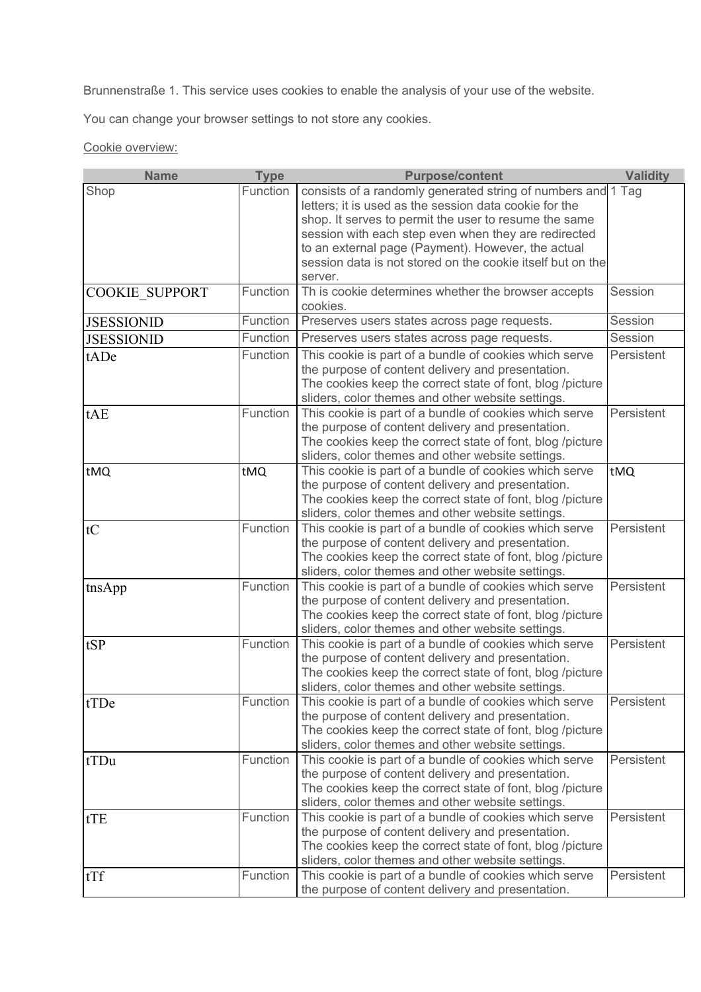Brunnenstraße 1. This service uses cookies to enable the analysis of your use of the website.

You can change your browser settings to not store any cookies.

Cookie overview:

| <b>Name</b>           | <b>Type</b> | <b>Purpose/content</b>                                                                                                                                                                                                                                                                                                                                                 | <b>Validity</b> |
|-----------------------|-------------|------------------------------------------------------------------------------------------------------------------------------------------------------------------------------------------------------------------------------------------------------------------------------------------------------------------------------------------------------------------------|-----------------|
| Shop                  | Function    | consists of a randomly generated string of numbers and 1 Tag<br>letters; it is used as the session data cookie for the<br>shop. It serves to permit the user to resume the same<br>session with each step even when they are redirected<br>to an external page (Payment). However, the actual<br>session data is not stored on the cookie itself but on the<br>server. |                 |
| <b>COOKIE SUPPORT</b> | Function    | Th is cookie determines whether the browser accepts<br>cookies.                                                                                                                                                                                                                                                                                                        | Session         |
| <b>JSESSIONID</b>     | Function    | Preserves users states across page requests.                                                                                                                                                                                                                                                                                                                           | Session         |
| <b>JSESSIONID</b>     | Function    | Preserves users states across page requests.                                                                                                                                                                                                                                                                                                                           | Session         |
| tADe                  | Function    | This cookie is part of a bundle of cookies which serve<br>the purpose of content delivery and presentation.<br>The cookies keep the correct state of font, blog /picture<br>sliders, color themes and other website settings.                                                                                                                                          | Persistent      |
| tAE                   | Function    | This cookie is part of a bundle of cookies which serve<br>the purpose of content delivery and presentation.<br>The cookies keep the correct state of font, blog /picture<br>sliders, color themes and other website settings.                                                                                                                                          | Persistent      |
| tMQ                   | tMQ         | This cookie is part of a bundle of cookies which serve<br>the purpose of content delivery and presentation.<br>The cookies keep the correct state of font, blog /picture<br>sliders, color themes and other website settings.                                                                                                                                          | tMQ             |
| tC                    | Function    | This cookie is part of a bundle of cookies which serve<br>the purpose of content delivery and presentation.<br>The cookies keep the correct state of font, blog /picture<br>sliders, color themes and other website settings.                                                                                                                                          | Persistent      |
| tnsApp                | Function    | This cookie is part of a bundle of cookies which serve<br>the purpose of content delivery and presentation.<br>The cookies keep the correct state of font, blog /picture<br>sliders, color themes and other website settings.                                                                                                                                          | Persistent      |
| tSP                   | Function    | This cookie is part of a bundle of cookies which serve<br>the purpose of content delivery and presentation.<br>The cookies keep the correct state of font, blog /picture<br>sliders, color themes and other website settings.                                                                                                                                          | Persistent      |
| tTDe                  | Function    | This cookie is part of a bundle of cookies which serve<br>the purpose of content delivery and presentation.<br>The cookies keep the correct state of font, blog /picture<br>sliders, color themes and other website settings.                                                                                                                                          | Persistent      |
| tTDu                  | Function    | This cookie is part of a bundle of cookies which serve<br>the purpose of content delivery and presentation.<br>The cookies keep the correct state of font, blog /picture<br>sliders, color themes and other website settings.                                                                                                                                          | Persistent      |
| tTE                   | Function    | This cookie is part of a bundle of cookies which serve<br>the purpose of content delivery and presentation.<br>The cookies keep the correct state of font, blog /picture<br>sliders, color themes and other website settings.                                                                                                                                          | Persistent      |
| tTf                   | Function    | This cookie is part of a bundle of cookies which serve<br>the purpose of content delivery and presentation.                                                                                                                                                                                                                                                            | Persistent      |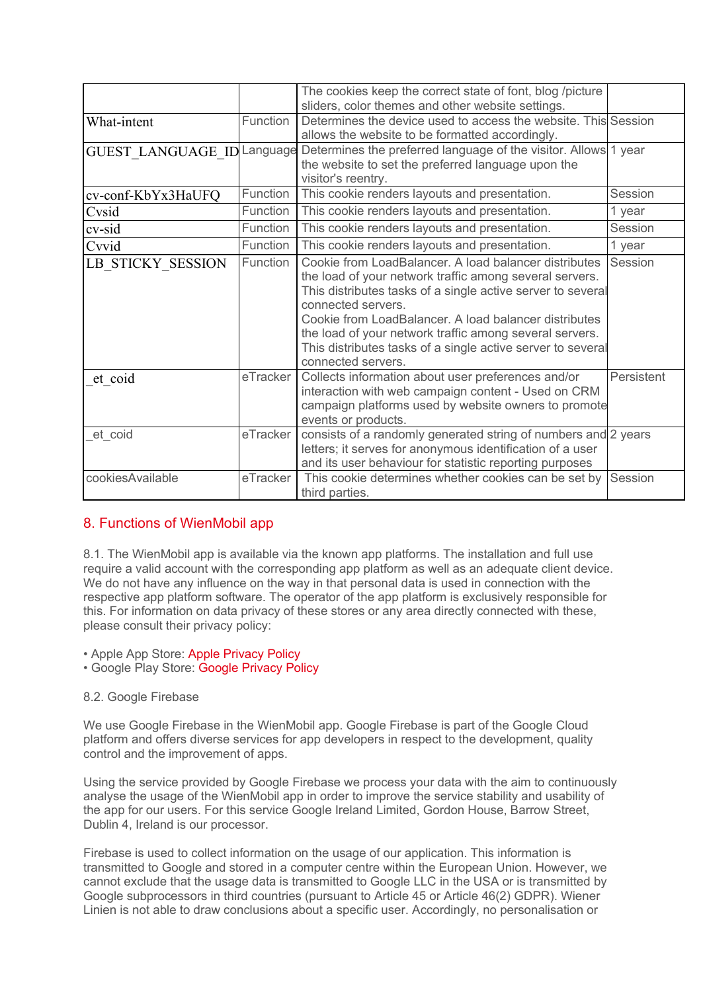|                            |          | The cookies keep the correct state of font, blog /picture<br>sliders, color themes and other website settings.                                                                                                                                                                                                                                                                                                 |            |
|----------------------------|----------|----------------------------------------------------------------------------------------------------------------------------------------------------------------------------------------------------------------------------------------------------------------------------------------------------------------------------------------------------------------------------------------------------------------|------------|
| What-intent                | Function | Determines the device used to access the website. This Session<br>allows the website to be formatted accordingly.                                                                                                                                                                                                                                                                                              |            |
| GUEST LANGUAGE ID Language |          | Determines the preferred language of the visitor. Allows 1 year<br>the website to set the preferred language upon the<br>visitor's reentry.                                                                                                                                                                                                                                                                    |            |
| cv-conf-KbYx3HaUFQ         | Function | This cookie renders layouts and presentation.                                                                                                                                                                                                                                                                                                                                                                  | Session    |
| Cvsid                      | Function | This cookie renders layouts and presentation.                                                                                                                                                                                                                                                                                                                                                                  | 1 year     |
| cv-sid                     | Function | This cookie renders layouts and presentation.                                                                                                                                                                                                                                                                                                                                                                  | Session    |
| Cvvid                      | Function | This cookie renders layouts and presentation.                                                                                                                                                                                                                                                                                                                                                                  | 1 year     |
| LB STICKY_SESSION          | Function | Cookie from LoadBalancer. A load balancer distributes<br>the load of your network traffic among several servers.<br>This distributes tasks of a single active server to several<br>connected servers.<br>Cookie from LoadBalancer, A load balancer distributes<br>the load of your network traffic among several servers.<br>This distributes tasks of a single active server to several<br>connected servers. | Session    |
| et coid                    | eTracker | Collects information about user preferences and/or<br>interaction with web campaign content - Used on CRM<br>campaign platforms used by website owners to promote<br>events or products.                                                                                                                                                                                                                       | Persistent |
| et coid                    | eTracker | consists of a randomly generated string of numbers and 2 years<br>letters; it serves for anonymous identification of a user<br>and its user behaviour for statistic reporting purposes                                                                                                                                                                                                                         |            |
| cookiesAvailable           | eTracker | This cookie determines whether cookies can be set by<br>third parties.                                                                                                                                                                                                                                                                                                                                         | Session    |

# 8. Functions of WienMobil app

8.1. The WienMobil app is available via the known app platforms. The installation and full use require a valid account with the corresponding app platform as well as an adequate client device. We do not have any influence on the way in that personal data is used in connection with the respective app platform software. The operator of the app platform is exclusively responsible for this. For information on data privacy of these stores or any area directly connected with these, please consult their privacy policy:

- Apple App Store: Apple Privacy Policy
- Google Play Store: Google Privacy Policy

## 8.2. Google Firebase

We use Google Firebase in the WienMobil app. Google Firebase is part of the Google Cloud platform and offers diverse services for app developers in respect to the development, quality control and the improvement of apps.

Using the service provided by Google Firebase we process your data with the aim to continuously analyse the usage of the WienMobil app in order to improve the service stability and usability of the app for our users. For this service Google Ireland Limited, Gordon House, Barrow Street, Dublin 4, Ireland is our processor.

Firebase is used to collect information on the usage of our application. This information is transmitted to Google and stored in a computer centre within the European Union. However, we cannot exclude that the usage data is transmitted to Google LLC in the USA or is transmitted by Google subprocessors in third countries (pursuant to Article 45 or Article 46(2) GDPR). Wiener Linien is not able to draw conclusions about a specific user. Accordingly, no personalisation or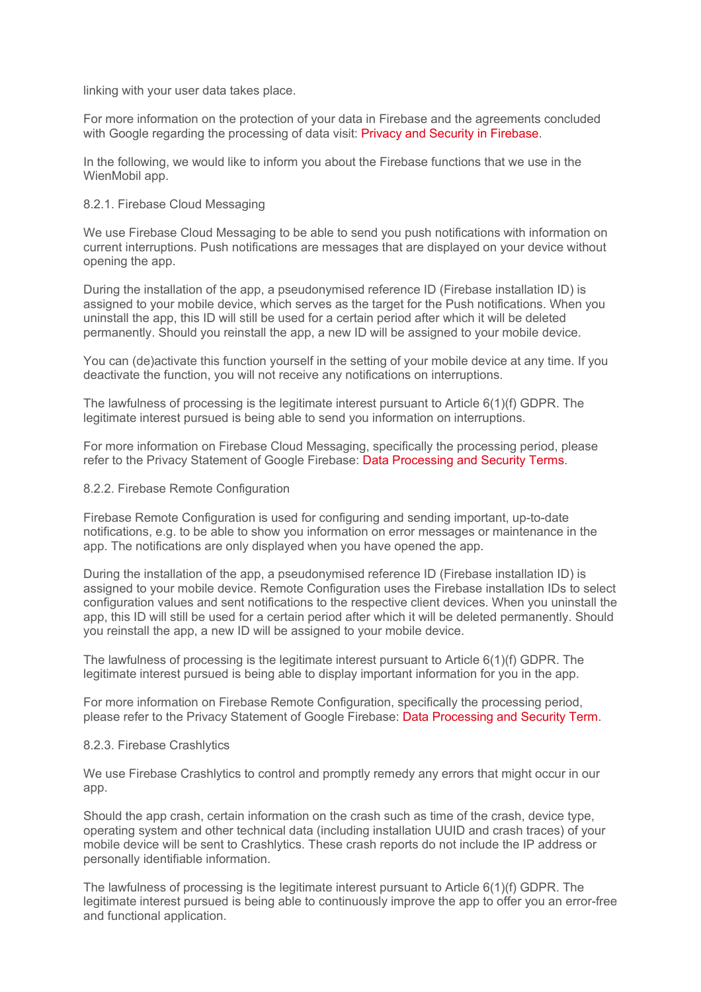linking with your user data takes place.

For more information on the protection of your data in Firebase and the agreements concluded with Google regarding the processing of data visit: Privacy and Security in Firebase.

In the following, we would like to inform you about the Firebase functions that we use in the WienMobil app.

#### 8.2.1. Firebase Cloud Messaging

We use Firebase Cloud Messaging to be able to send you push notifications with information on current interruptions. Push notifications are messages that are displayed on your device without opening the app.

During the installation of the app, a pseudonymised reference ID (Firebase installation ID) is assigned to your mobile device, which serves as the target for the Push notifications. When you uninstall the app, this ID will still be used for a certain period after which it will be deleted permanently. Should you reinstall the app, a new ID will be assigned to your mobile device.

You can (de)activate this function yourself in the setting of your mobile device at any time. If you deactivate the function, you will not receive any notifications on interruptions.

The lawfulness of processing is the legitimate interest pursuant to Article 6(1)(f) GDPR. The legitimate interest pursued is being able to send you information on interruptions.

For more information on Firebase Cloud Messaging, specifically the processing period, please refer to the Privacy Statement of Google Firebase: Data Processing and Security Terms.

#### 8.2.2. Firebase Remote Configuration

Firebase Remote Configuration is used for configuring and sending important, up-to-date notifications, e.g. to be able to show you information on error messages or maintenance in the app. The notifications are only displayed when you have opened the app.

During the installation of the app, a pseudonymised reference ID (Firebase installation ID) is assigned to your mobile device. Remote Configuration uses the Firebase installation IDs to select configuration values and sent notifications to the respective client devices. When you uninstall the app, this ID will still be used for a certain period after which it will be deleted permanently. Should you reinstall the app, a new ID will be assigned to your mobile device.

The lawfulness of processing is the legitimate interest pursuant to Article 6(1)(f) GDPR. The legitimate interest pursued is being able to display important information for you in the app.

For more information on Firebase Remote Configuration, specifically the processing period, please refer to the Privacy Statement of Google Firebase: Data Processing and Security Term.

#### 8.2.3. Firebase Crashlytics

We use Firebase Crashlytics to control and promptly remedy any errors that might occur in our app.

Should the app crash, certain information on the crash such as time of the crash, device type, operating system and other technical data (including installation UUID and crash traces) of your mobile device will be sent to Crashlytics. These crash reports do not include the IP address or personally identifiable information.

The lawfulness of processing is the legitimate interest pursuant to Article 6(1)(f) GDPR. The legitimate interest pursued is being able to continuously improve the app to offer you an error-free and functional application.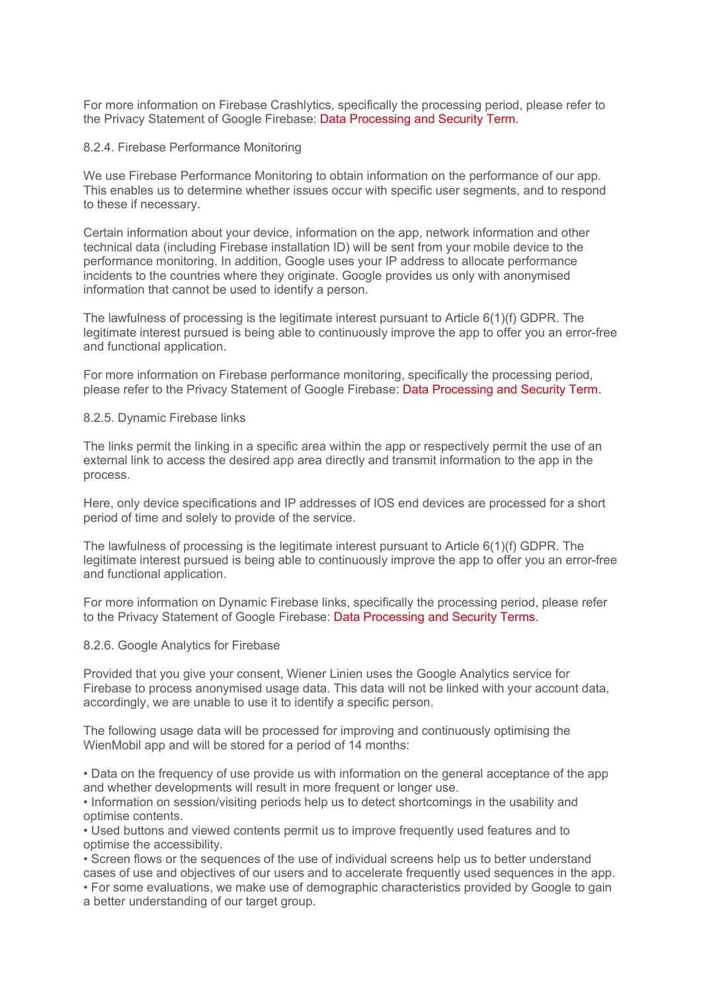For more information on Firebase Crashlytics, specifically the processing period, please refer to the Privacy Statement of Google Firebase: Data Processing and Security Term.

#### 8.2.4. Firebase Performance Monitoring

We use Firebase Performance Monitoring to obtain information on the performance of our app. This enables us to determine whether issues occur with specific user segments, and to respond to these if necessary.

Certain information about your device, information on the app, network information and other technical data (including Firebase installation ID) will be sent from your mobile device to the performance monitoring. In addition, Google uses your IP address to allocate performance incidents to the countries where they originate. Google provides us only with anonymised information that cannot be used to identify a person.

The lawfulness of processing is the legitimate interest pursuant to Article 6(1)(f) GDPR. The legitimate interest pursued is being able to continuously improve the app to offer you an error-free and functional application.

For more information on Firebase performance monitoring, specifically the processing period, please refer to the Privacy Statement of Google Firebase: Data Processing and Security Term.

#### 8.2.5. Dynamic Firebase links

The links permit the linking in a specific area within the app or respectively permit the use of an external link to access the desired app area directly and transmit information to the app in the process.

Here, only device specifications and IP addresses of IOS end devices are processed for a short period of time and solely to provide of the service.

The lawfulness of processing is the legitimate interest pursuant to Article 6(1)(f) GDPR. The legitimate interest pursued is being able to continuously improve the app to offer you an error-free and functional application.

For more information on Dynamic Firebase links, specifically the processing period, please refer to the Privacy Statement of Google Firebase: Data Processing and Security Terms.

#### 8.2.6. Google Analytics for Firebase

Provided that you give your consent, Wiener Linien uses the Google Analytics service for Firebase to process anonymised usage data. This data will not be linked with your account data, accordingly, we are unable to use it to identify a specific person.

The following usage data will be processed for improving and continuously optimising the WienMobil app and will be stored for a period of 14 months:

• Data on the frequency of use provide us with information on the general acceptance of the app and whether developments will result in more frequent or longer use.

• Information on session/visiting periods help us to detect shortcomings in the usability and optimise contents.

• Used buttons and viewed contents permit us to improve frequently used features and to optimise the accessibility.

• Screen flows or the sequences of the use of individual screens help us to better understand cases of use and objectives of our users and to accelerate frequently used sequences in the app. • For some evaluations, we make use of demographic characteristics provided by Google to gain

a better understanding of our target group.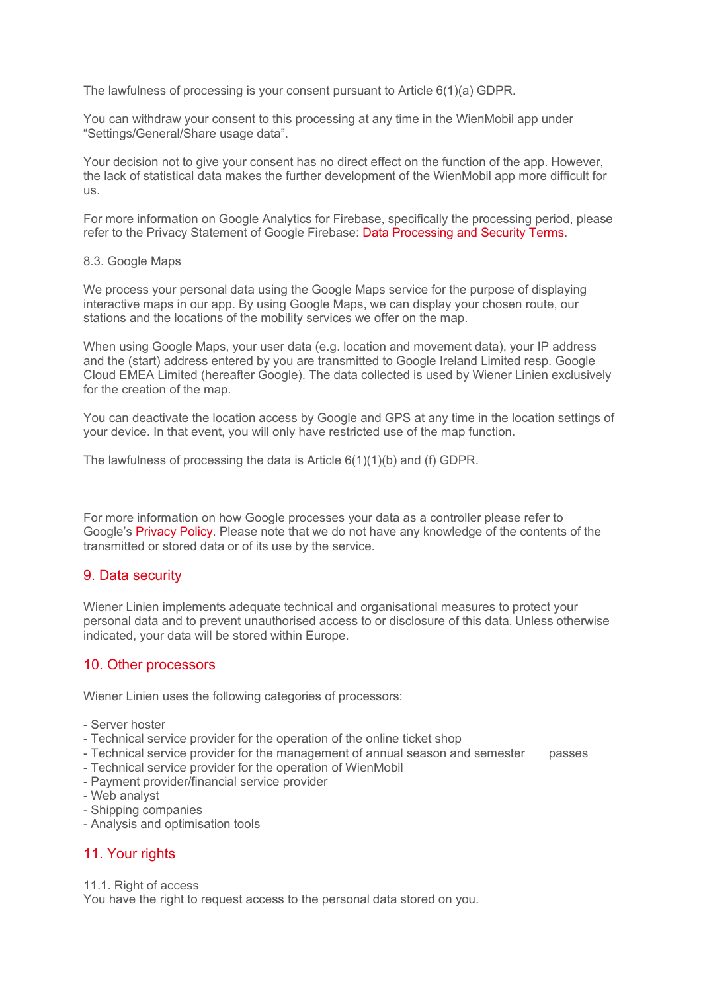The lawfulness of processing is your consent pursuant to Article 6(1)(a) GDPR.

You can withdraw your consent to this processing at any time in the WienMobil app under "Settings/General/Share usage data".

Your decision not to give your consent has no direct effect on the function of the app. However, the lack of statistical data makes the further development of the WienMobil app more difficult for us.

For more information on Google Analytics for Firebase, specifically the processing period, please refer to the Privacy Statement of Google Firebase: Data Processing and Security Terms.

#### 8.3. Google Maps

We process your personal data using the Google Maps service for the purpose of displaying interactive maps in our app. By using Google Maps, we can display your chosen route, our stations and the locations of the mobility services we offer on the map.

When using Google Maps, your user data (e.g. location and movement data), your IP address and the (start) address entered by you are transmitted to Google Ireland Limited resp. Google Cloud EMEA Limited (hereafter Google). The data collected is used by Wiener Linien exclusively for the creation of the map.

You can deactivate the location access by Google and GPS at any time in the location settings of your device. In that event, you will only have restricted use of the map function.

The lawfulness of processing the data is Article 6(1)(1)(b) and (f) GDPR.

For more information on how Google processes your data as a controller please refer to Google's Privacy Policy. Please note that we do not have any knowledge of the contents of the transmitted or stored data or of its use by the service.

## 9. Data security

Wiener Linien implements adequate technical and organisational measures to protect your personal data and to prevent unauthorised access to or disclosure of this data. Unless otherwise indicated, your data will be stored within Europe.

## 10. Other processors

Wiener Linien uses the following categories of processors:

- Server hoster
- Technical service provider for the operation of the online ticket shop
- Technical service provider for the management of annual season and semester passes
- Technical service provider for the operation of WienMobil
- Payment provider/financial service provider
- Web analyst
- Shipping companies
- Analysis and optimisation tools

# 11. Your rights

11.1. Right of access

You have the right to request access to the personal data stored on you.